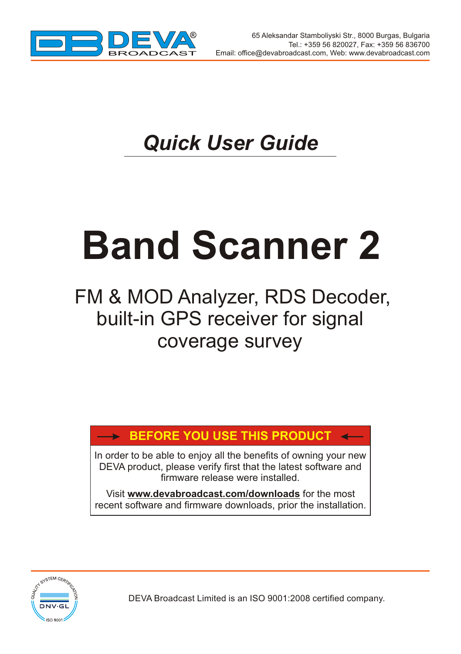

# *Quick User Guide*

# **Band Scanner 2**

## FM & MOD Analyzer, RDS Decoder, built-in GPS receiver for signal coverage survey

## **BEFORE YOU USE THIS PRODUCT**

In order to be able to enjoy all the benefits of owning your new DEVA product, please verify first that the latest software and firmware release were installed.

Visit **www.devabroadcast.com/downloads** for the most recent software and firmware downloads, prior the installation.



DEVA Broadcast Limited is an ISO 9001:2008 certified company.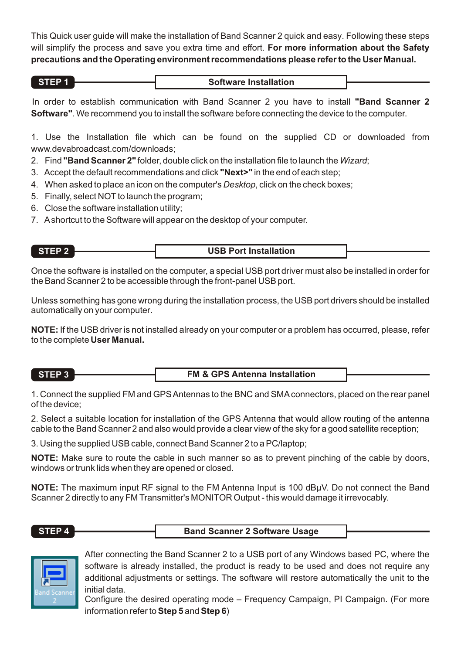This Quick user guide will make the installation of Band Scanner 2 quick and easy. Following these steps will simplify the process and save you extra time and effort. **For more information about the Safety precautions and the Operating environment recommendations please refer to the User Manual.**

| STEP <sup>*</sup><br><b>Software Installation</b> |  |
|---------------------------------------------------|--|
|---------------------------------------------------|--|

In order to establish communication with Band Scanner 2 you have to install **"Band Scanner 2 Software"**. We recommend you to install the software before connecting the device to the computer.

1. Use the Installation file which can be found on the supplied CD or downloaded from www.devabroadcast.com/downloads;

- 2. Find **"Band Scanner 2"** folder, double click on the installation file to launch the *Wizard*;
- 3. Accept the default recommendations and click **"Next>"** in the end of each step;
- 4. When asked to place an icon on the computer's *Desktop*, click on the check boxes;
- 5. Finally, select NOT to launch the program:
- 6. Close the software installation utility;
- 7. Ashortcut to the Software will appear on the desktop of your computer.

### **STEP 2 USB Port Installation**

Once the software is installed on the computer, a special USB port driver must also be installed in order for the Band Scanner 2 to be accessible through the front-panel USB port.

Unless something has gone wrong during the installation process, the USB port drivers should be installed automatically on your computer.

**NOTE:** If the USB driver is not installed already on your computer or a problem has occurred, please, refer to the complete **User Manual.**

| STEP 3 | <b>FM &amp; GPS Antenna Installation</b> |  |
|--------|------------------------------------------|--|
|--------|------------------------------------------|--|

1. Connect the supplied FM and GPS Antennas to the BNC and SMAconnectors, placed on the rear panel of the device;

2. Select a suitable location for installation of the GPS Antenna that would allow routing of the antenna cable to the Band Scanner 2 and also would provide a clear view of the sky for a good satellite reception;

3. Using the supplied USB cable, connect Band Scanner 2 to a PC/laptop;

**NOTE:** Make sure to route the cable in such manner so as to prevent pinching of the cable by doors, windows or trunk lids when they are opened or closed.

**NOTE:** The maximum input RF signal to the FM Antenna Input is 100 dBuV. Do not connect the Band Scanner 2 directly to any FM Transmitter's MONITOR Output - this would damage it irrevocably.

**STEP 4 Band Scanner 2 Software Usage** 



After connecting the Band Scanner 2 to a USB port of any Windows based PC, where the software is already installed, the product is ready to be used and does not require any additional adjustments or settings. The software will restore automatically the unit to the initial data.

Configure the desired operating mode – Frequency Campaign, PI Campaign. (For more information refer to**Step 5** and **Step 6**)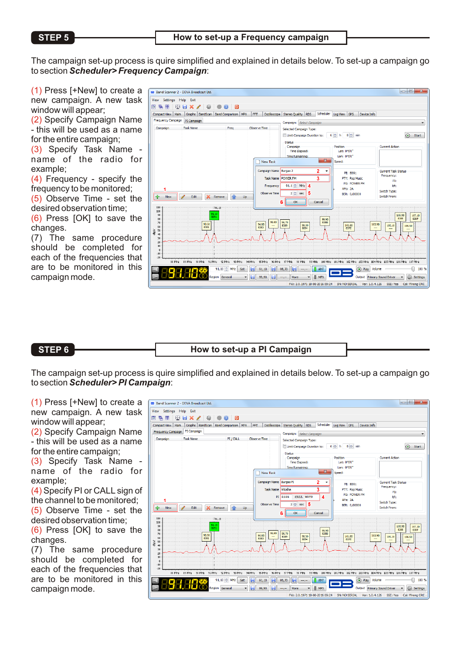The campaign set-up process is quire simplified and explained in details below. To set-up a campaign go to section *Scheduler> Frequency Campaign*:

 $(1)$  Press [+New] to create a new campaign. A new task window will appear;

(2) Specify Campaign Name - this will be used as a name for the entire campaign;

(3) Specify Task Name name of the radio for example;

 $(4)$  Frequency - specify the frequency to be monitored;

 $(5)$  Observe Time - set the desired observation time;

 $(6)$  Press  $[OK]$  to save the changes.

(7) The same procedure should be completed for each of the frequencies that are to be monitored in this campaign mode.



**STEP 6 How to set-up a PI Campaign** 

The campaign set-up process is quire simplified and explained in details below. To set-up a campaign go to section *Scheduler> PI Campaign*:

 $(1)$  Press [+New] to create a new campaign. A new task window will appear;

(2) Specify Campaign Name - this will be used as a name for the entire campaign;

(3) Specify Task Name name of the radio for example;

(4) Specify PI or CALL sign of the channel to be monitored;

(5) Observe Time - set the desired observation time;

 $(6)$  Press  $[OK]$  to save the changes.

(7) The same procedure should be completed for each of the frequencies that are to be monitored in this campaign mode.

| Scheduler Log View GPS<br>Graphs BandScan Band Comparison MPX<br>FFT<br>Oscilloscope Stereo Quality RDS<br>Device Info.<br>Compact View Main<br>Frequency Campaign PI Campaign<br>Campaign: Select Campaign<br><b>Task Name</b><br>PT / CALL<br>Observe Time<br>Campaign<br>Selected Campaign Type:<br>6 0 h 0 0 min<br>Ill Limit Campaign Duration to:<br>Status<br><b>Current Action</b><br>Campaign<br>Position<br>Lat: 0°0'0"<br>Time Elapsed:<br>Lon: 0900*<br>Time Remaining:<br>$\mathbf{x}$<br>New Task<br>Speed:<br>Campaign Name Burgas PI<br>2<br><b>Current Task Status</b><br>٠<br>PT: 8091<br>Frequency:<br>3<br><b>Task Name</b><br>Vitosha<br>PTY: Pop Music<br>PI:<br>PS: POWER FM<br>Δ<br>PI 8389<br>CALL WRTP<br>RF:<br>AFs: 2A<br>Switch Type:<br>5<br>Observe Time<br>$2 \div$ sec<br>BER: 0.00000<br>Switch From:<br>Edit<br>Remove<br>Lin<br>New<br>6<br>$\alpha$<br>Cancel<br>110<br>191.10<br>100<br>91.10<br>90<br>105.90<br>8091<br>8388<br>$\omega$<br>99.90<br>55,80<br>96.70<br>838B<br>$\overline{10}$<br>90.50<br>94.80<br>103.90<br>98.30<br>101.80<br>8389<br>105.10<br>60<br>8381<br>8383<br>8094<br>837E<br>ă<br>50<br>$\ddot{a}$<br>30<br>20<br>10<br>$\Omega$ |                          |
|-----------------------------------------------------------------------------------------------------------------------------------------------------------------------------------------------------------------------------------------------------------------------------------------------------------------------------------------------------------------------------------------------------------------------------------------------------------------------------------------------------------------------------------------------------------------------------------------------------------------------------------------------------------------------------------------------------------------------------------------------------------------------------------------------------------------------------------------------------------------------------------------------------------------------------------------------------------------------------------------------------------------------------------------------------------------------------------------------------------------------------------------------------------------------------------------------------|--------------------------|
|                                                                                                                                                                                                                                                                                                                                                                                                                                                                                                                                                                                                                                                                                                                                                                                                                                                                                                                                                                                                                                                                                                                                                                                                     |                          |
|                                                                                                                                                                                                                                                                                                                                                                                                                                                                                                                                                                                                                                                                                                                                                                                                                                                                                                                                                                                                                                                                                                                                                                                                     | $\circ$<br>Start         |
|                                                                                                                                                                                                                                                                                                                                                                                                                                                                                                                                                                                                                                                                                                                                                                                                                                                                                                                                                                                                                                                                                                                                                                                                     |                          |
| $-10$                                                                                                                                                                                                                                                                                                                                                                                                                                                                                                                                                                                                                                                                                                                                                                                                                                                                                                                                                                                                                                                                                                                                                                                               | 107.10<br>838F<br>106.50 |
| $-20$<br>99 MHz 200 MHz 201 MHz 202 MHz 200 MHz 304 MHz 205 MHz 106 MHz 107 MHz<br>09 MHz 90 MHz<br>91 MHz 92 MHz<br>81 MHz<br>331444<br>94 NHz<br>16 MHz<br>16 MHz<br>37 MHz<br>301101                                                                                                                                                                                                                                                                                                                                                                                                                                                                                                                                                                                                                                                                                                                                                                                                                                                                                                                                                                                                             |                          |